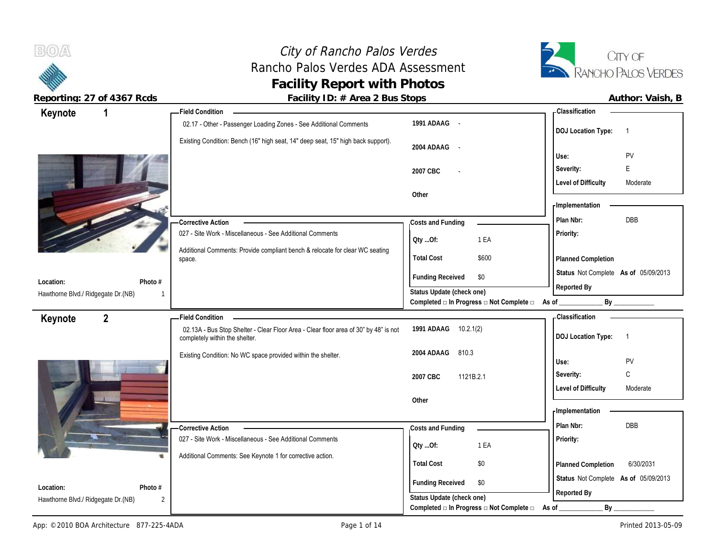# City of Rancho Palos Verdes Rancho Palos Verdes ADA Assessment **Facility of Rancho Palos Verdes**<br> **Facility Report with Photos**<br> **Facility Report with Photos**<br> **Facility Report with Photos**



 $B(0)$ 

**Reporting: 27 of 4367 Rcds Facility ID: # Area 2 Bus Stops** 

| Author: Vaish, B |  |
|------------------|--|
|                  |  |

| Keynote                                                    | - Field Condition                                                                                                      |                                                                                      | <b>Classification</b>                       |
|------------------------------------------------------------|------------------------------------------------------------------------------------------------------------------------|--------------------------------------------------------------------------------------|---------------------------------------------|
|                                                            | 02.17 - Other - Passenger Loading Zones - See Additional Comments                                                      | 1991 ADAAG -                                                                         | <b>DOJ Location Type:</b><br>$\overline{1}$ |
|                                                            | Existing Condition: Bench (16" high seat, 14" deep seat, 15" high back support).                                       | 2004 ADAAG -                                                                         | Use:<br>PV                                  |
|                                                            |                                                                                                                        | 2007 CBC                                                                             | E<br>Severity:                              |
|                                                            |                                                                                                                        |                                                                                      | <b>Level of Difficulty</b><br>Moderate      |
|                                                            |                                                                                                                        | Other                                                                                |                                             |
|                                                            |                                                                                                                        |                                                                                      | - Implementation                            |
|                                                            | - Corrective Action                                                                                                    | Costs and Funding                                                                    | Plan Nbr:<br>DBB                            |
|                                                            | 027 - Site Work - Miscellaneous - See Additional Comments                                                              | 1 EA<br>Qty Of:                                                                      | Priority:                                   |
|                                                            | Additional Comments: Provide compliant bench & relocate for clear WC seating<br>space.                                 | \$600<br><b>Total Cost</b>                                                           | Planned Completion                          |
|                                                            |                                                                                                                        | <b>Funding Received</b><br>\$0                                                       | Status Not Complete As of 05/09/2013        |
| Photo #<br>Location:<br>Hawthorne Blvd./ Ridgegate Dr.(NB) |                                                                                                                        | Status Update (check one)                                                            | Reported By                                 |
|                                                            |                                                                                                                        | Completed □ In Progress □ Not Complete □ As of                                       | By                                          |
| $\overline{2}$<br>Keynote                                  | <b>Field Condition</b>                                                                                                 |                                                                                      | Classification                              |
|                                                            | 02.13A - Bus Stop Shelter - Clear Floor Area - Clear floor area of 30" by 48" is not<br>completely within the shelter. | 1991 ADAAG<br>10.2.1(2)                                                              | <b>DOJ Location Type:</b><br>$\overline{1}$ |
|                                                            |                                                                                                                        | 810.3<br>2004 ADAAG                                                                  |                                             |
|                                                            | Existing Condition: No WC space provided within the shelter.                                                           |                                                                                      |                                             |
|                                                            |                                                                                                                        |                                                                                      | Use:<br>PV                                  |
|                                                            |                                                                                                                        | 2007 CBC<br>1121B.2.1                                                                | C<br>Severity:<br>Moderate                  |
|                                                            |                                                                                                                        | Other                                                                                | <b>Level of Difficulty</b>                  |
|                                                            |                                                                                                                        |                                                                                      | <b>Implementation</b>                       |
|                                                            | - Corrective Action                                                                                                    | Costs and Funding                                                                    | Plan Nbr:<br><b>DBB</b>                     |
|                                                            | 027 - Site Work - Miscellaneous - See Additional Comments                                                              | 1 EA                                                                                 | Priority:                                   |
|                                                            | Additional Comments: See Keynote 1 for corrective action.                                                              | Oty Of:                                                                              |                                             |
|                                                            |                                                                                                                        | <b>Total Cost</b><br>\$0                                                             | 6/30/2031<br>Planned Completion             |
| Location:<br>Photo #                                       |                                                                                                                        | <b>Funding Received</b><br>\$0                                                       | Status Not Complete As of 05/09/2013        |
| Hawthorne Blvd./ Ridgegate Dr.(NB)<br>$\overline{2}$       |                                                                                                                        | Status Update (check one)<br>Completed $\Box$ In Progress $\Box$ Not Complete $\Box$ | Reported By<br>By<br>As of                  |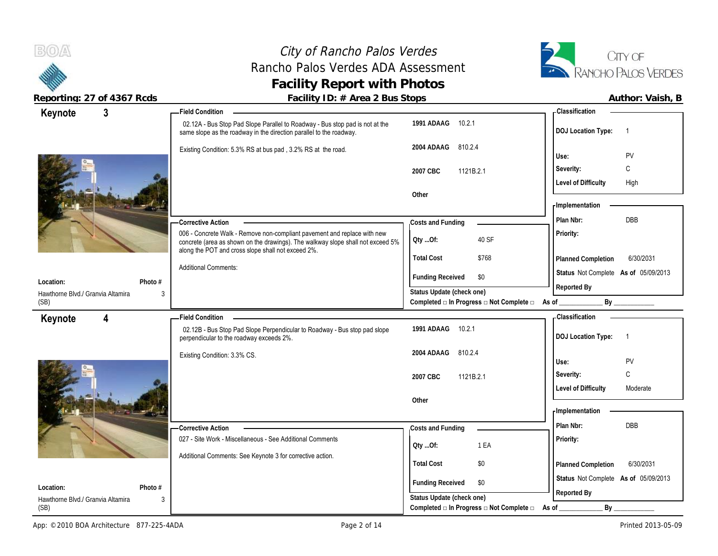## City of Rancho Palos Verdes Rancho Palos Verdes ADA Assessment **Facility Report with Photos**



| Keynote                                   | 3                                      | <b>Field Condition</b>                                                                                                                              |                                                                               | - Classification                            |
|-------------------------------------------|----------------------------------------|-----------------------------------------------------------------------------------------------------------------------------------------------------|-------------------------------------------------------------------------------|---------------------------------------------|
|                                           |                                        | 02.12A - Bus Stop Pad Slope Parallel to Roadway - Bus stop pad is not at the<br>same slope as the roadway in the direction parallel to the roadway. | 10.2.1<br>1991 ADAAG                                                          | <b>DOJ Location Type:</b><br>$\overline{1}$ |
|                                           |                                        | Existing Condition: 5.3% RS at bus pad, 3.2% RS at the road.                                                                                        | 2004 ADAAG<br>810.2.4                                                         | Use:<br>PV                                  |
|                                           |                                        |                                                                                                                                                     |                                                                               | C<br>Severity:                              |
|                                           |                                        |                                                                                                                                                     | 1121B.2.1<br>2007 CBC                                                         | <b>Level of Difficulty</b><br>High          |
|                                           |                                        |                                                                                                                                                     | Other                                                                         |                                             |
|                                           |                                        |                                                                                                                                                     |                                                                               | - Implementation                            |
|                                           |                                        | <b>Corrective Action</b>                                                                                                                            | Costs and Funding                                                             | DBB<br>Plan Nbr:                            |
|                                           |                                        | 006 - Concrete Walk - Remove non-compliant pavement and replace with new                                                                            |                                                                               | Priority:                                   |
|                                           |                                        | concrete (area as shown on the drawings). The walkway slope shall not exceed 5%                                                                     | 40 SF<br>QtyOf:                                                               |                                             |
|                                           |                                        | along the POT and cross slope shall not exceed 2%.                                                                                                  | <b>Total Cost</b><br>\$768                                                    | 6/30/2031<br>Planned Completion             |
|                                           |                                        | <b>Additional Comments:</b>                                                                                                                         |                                                                               | Status Not Complete As of 05/09/2013        |
| Location:                                 | Photo #                                |                                                                                                                                                     | <b>Funding Received</b><br>\$0                                                | Reported By                                 |
| Hawthorne Blvd./ Granvia Altamira<br>(SB) | 3                                      |                                                                                                                                                     | Status Update (check one)<br>Completed □ In Progress □ Not Complete □ As of _ | By                                          |
|                                           |                                        |                                                                                                                                                     |                                                                               |                                             |
| Keynote                                   | 4                                      | <b>Field Condition</b>                                                                                                                              | 10.2.1<br>1991 ADAAG                                                          | - Classification                            |
|                                           |                                        | 02.12B - Bus Stop Pad Slope Perpendicular to Roadway - Bus stop pad slope<br>perpendicular to the roadway exceeds 2%.                               |                                                                               | <b>DOJ Location Type:</b><br>$\overline{1}$ |
|                                           |                                        | Existing Condition: 3.3% CS.                                                                                                                        | 2004 ADAAG<br>810.2.4                                                         |                                             |
|                                           |                                        |                                                                                                                                                     |                                                                               | Use:<br>PV                                  |
|                                           |                                        |                                                                                                                                                     | 2007 CBC<br>1121B.2.1                                                         | C<br>Severity:                              |
|                                           |                                        |                                                                                                                                                     |                                                                               | <b>Level of Difficulty</b><br>Moderate      |
|                                           |                                        |                                                                                                                                                     | Other                                                                         |                                             |
|                                           |                                        |                                                                                                                                                     |                                                                               | - Implementation                            |
|                                           |                                        | - Corrective Action                                                                                                                                 | Costs and Funding                                                             | Plan Nbr:<br><b>DBB</b>                     |
|                                           |                                        | 027 - Site Work - Miscellaneous - See Additional Comments                                                                                           | 1 EA<br>QtyOf:                                                                | Priority:                                   |
|                                           |                                        | Additional Comments: See Keynote 3 for corrective action.                                                                                           |                                                                               |                                             |
|                                           |                                        |                                                                                                                                                     | <b>Total Cost</b><br>\$0                                                      | 6/30/2031<br>Planned Completion             |
| Location:                                 | Photo #                                |                                                                                                                                                     | <b>Funding Received</b><br>\$0                                                | Status Not Complete As of 05/09/2013        |
|                                           |                                        |                                                                                                                                                     |                                                                               | Reported By                                 |
|                                           | Hawthorne Blvd./ Granvia Altamira<br>3 |                                                                                                                                                     | Status Update (check one)                                                     |                                             |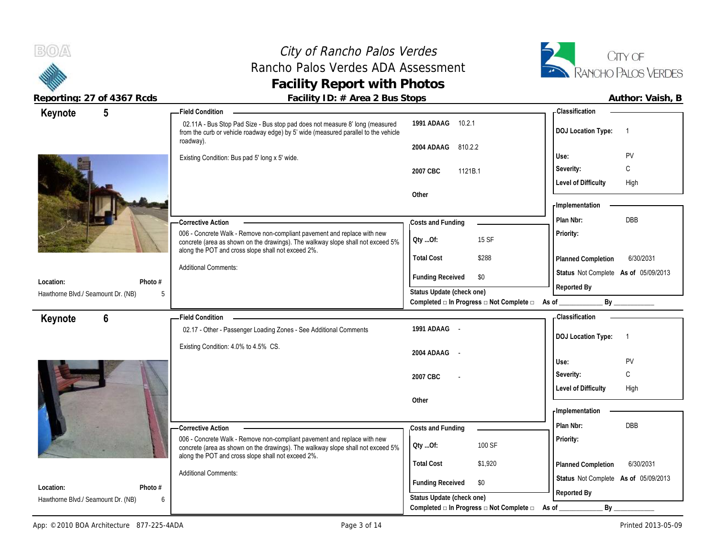$B(0)$ A

## City of Rancho Palos Verdes Rancho Palos Verdes ADA Assessment **Facility Report with Photos**



| $5\phantom{.0}$<br>Keynote                                   | <b>Field Condition</b>                                                                                                                                                                                            |                                                             | <b>Classification</b>                       |
|--------------------------------------------------------------|-------------------------------------------------------------------------------------------------------------------------------------------------------------------------------------------------------------------|-------------------------------------------------------------|---------------------------------------------|
|                                                              | 02.11A - Bus Stop Pad Size - Bus stop pad does not measure 8' long (measured<br>from the curb or vehicle roadway edge) by 5' wide (measured parallel to the vehicle                                               | 1991 ADAAG 10.2.1                                           | <b>DOJ Location Type:</b><br>$\overline{1}$ |
|                                                              | roadway).                                                                                                                                                                                                         | 2004 ADAAG<br>810.2.2                                       |                                             |
|                                                              | Existing Condition: Bus pad 5' long x 5' wide.                                                                                                                                                                    |                                                             | PV<br>Use:                                  |
|                                                              |                                                                                                                                                                                                                   | 1121B.1<br>2007 CBC                                         | С<br>Severity:                              |
|                                                              |                                                                                                                                                                                                                   |                                                             | <b>Level of Difficulty</b><br>High          |
|                                                              |                                                                                                                                                                                                                   | Other                                                       | - Implementation                            |
|                                                              |                                                                                                                                                                                                                   |                                                             | <b>DBB</b><br>Plan Nbr:                     |
|                                                              | Corrective Action                                                                                                                                                                                                 | Costs and Funding                                           |                                             |
|                                                              | 006 - Concrete Walk - Remove non-compliant pavement and replace with new<br>concrete (area as shown on the drawings). The walkway slope shall not exceed 5%<br>along the POT and cross slope shall not exceed 2%. | 15 SF<br>Qty Of:                                            | Priority:                                   |
|                                                              |                                                                                                                                                                                                                   | <b>Total Cost</b><br>\$288                                  | Planned Completion<br>6/30/2031             |
| Location:<br>Photo #                                         | <b>Additional Comments:</b>                                                                                                                                                                                       | <b>Funding Received</b><br>\$0                              | Status Not Complete As of 05/09/2013        |
| Hawthorne Blvd./ Seamount Dr. (NB)<br>5                      |                                                                                                                                                                                                                   | Status Update (check one)                                   | Reported By                                 |
|                                                              |                                                                                                                                                                                                                   | Completed □ In Progress □ Not Complete □ As of              | By                                          |
|                                                              |                                                                                                                                                                                                                   |                                                             |                                             |
| $6\phantom{1}$                                               | <b>Field Condition</b>                                                                                                                                                                                            |                                                             | <b>Classification</b>                       |
| Keynote                                                      | 02.17 - Other - Passenger Loading Zones - See Additional Comments                                                                                                                                                 | 1991 ADAAG -                                                |                                             |
|                                                              |                                                                                                                                                                                                                   |                                                             | <b>DOJ Location Type:</b><br>$\overline{1}$ |
|                                                              | Existing Condition: 4.0% to 4.5% CS.                                                                                                                                                                              | 2004 ADAAG -                                                |                                             |
|                                                              |                                                                                                                                                                                                                   |                                                             | Use:<br><b>PV</b>                           |
|                                                              |                                                                                                                                                                                                                   | 2007 CBC                                                    | С<br>Severity:                              |
|                                                              |                                                                                                                                                                                                                   |                                                             | <b>Level of Difficulty</b><br>High          |
|                                                              |                                                                                                                                                                                                                   | Other                                                       | <b>Implementation</b>                       |
|                                                              |                                                                                                                                                                                                                   |                                                             | Plan Nbr:<br><b>DBB</b>                     |
|                                                              | -Corrective Action<br>006 - Concrete Walk - Remove non-compliant pavement and replace with new                                                                                                                    | Costs and Funding                                           | Priority:                                   |
|                                                              | concrete (area as shown on the drawings). The walkway slope shall not exceed 5%                                                                                                                                   | 100 SF<br>Qty Of:                                           |                                             |
|                                                              | along the POT and cross slope shall not exceed 2%.                                                                                                                                                                | <b>Total Cost</b><br>\$1,920                                | 6/30/2031<br>Planned Completion             |
|                                                              | <b>Additional Comments:</b>                                                                                                                                                                                       |                                                             | Status Not Complete As of 05/09/2013        |
| Location:<br>Photo $#$<br>Hawthorne Blvd./ Seamount Dr. (NB) |                                                                                                                                                                                                                   | <b>Funding Received</b><br>\$0<br>Status Update (check one) | Reported By                                 |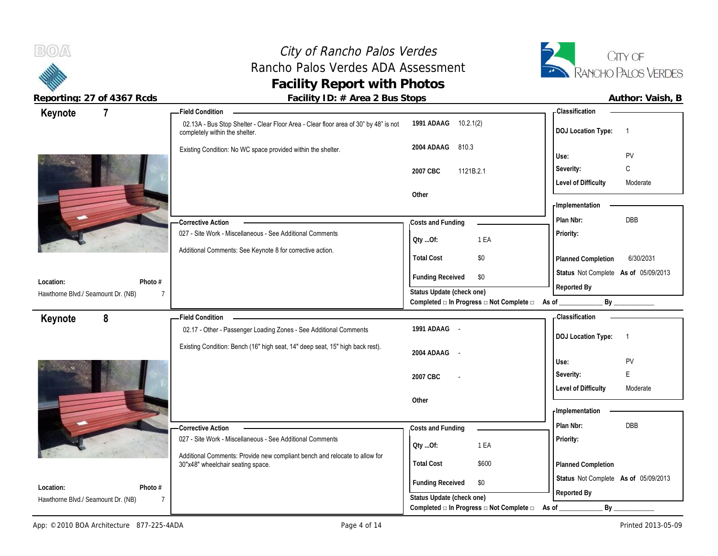## City of Rancho Palos Verdes Rancho Palos Verdes ADA Assessment **Facility Report with Photos**



| $\overline{7}$<br>Keynote                                                    | <b>Field Condition</b>                                                                                                 |                                                                          | <b>Classification</b>                       |
|------------------------------------------------------------------------------|------------------------------------------------------------------------------------------------------------------------|--------------------------------------------------------------------------|---------------------------------------------|
|                                                                              | 02.13A - Bus Stop Shelter - Clear Floor Area - Clear floor area of 30" by 48" is not<br>completely within the shelter. | 1991 ADAAG 10.2.1(2)                                                     | <b>DOJ</b> Location Type:<br>$\overline{1}$ |
|                                                                              | Existing Condition: No WC space provided within the shelter.                                                           | 2004 ADAAG<br>810.3                                                      | <b>PV</b><br>Use:                           |
|                                                                              |                                                                                                                        | 1121B.2.1<br>2007 CBC                                                    | $\mathbb C$<br>Severity:                    |
|                                                                              |                                                                                                                        |                                                                          | <b>Level of Difficulty</b><br>Moderate      |
|                                                                              |                                                                                                                        | Other                                                                    | - Implementation                            |
|                                                                              | <b>Corrective Action</b>                                                                                               | Costs and Funding                                                        | <b>DBB</b><br>Plan Nbr:                     |
|                                                                              | 027 - Site Work - Miscellaneous - See Additional Comments                                                              | 1 EA<br>QtyOf:                                                           | Priority:                                   |
|                                                                              | Additional Comments: See Keynote 8 for corrective action.                                                              | <b>Total Cost</b><br>\$0                                                 | 6/30/2031<br>Planned Completion             |
| Location:<br>Photo #                                                         |                                                                                                                        | <b>Funding Received</b><br>\$0                                           | Status Not Complete As of 05/09/2013        |
| Hawthorne Blvd./ Seamount Dr. (NB)<br>$\overline{7}$                         |                                                                                                                        | Status Update (check one)                                                | Reported By                                 |
|                                                                              |                                                                                                                        | Completed $\square$ In Progress $\square$ Not Complete $\square$ As of _ | By                                          |
| 8<br>Keynote                                                                 | <b>Field Condition</b>                                                                                                 |                                                                          | - Classification                            |
|                                                                              | 02.17 - Other - Passenger Loading Zones - See Additional Comments                                                      | 1991 ADAAG -                                                             | <b>DOJ Location Type:</b><br>$\overline{1}$ |
|                                                                              |                                                                                                                        |                                                                          |                                             |
|                                                                              | Existing Condition: Bench (16" high seat, 14" deep seat, 15" high back rest).                                          | 2004 ADAAG -                                                             |                                             |
|                                                                              |                                                                                                                        |                                                                          | <b>PV</b><br>Use:                           |
|                                                                              |                                                                                                                        | 2007 CBC                                                                 | E<br>Severity:                              |
|                                                                              |                                                                                                                        |                                                                          | <b>Level of Difficulty</b><br>Moderate      |
|                                                                              |                                                                                                                        | Other                                                                    | - Implementation                            |
|                                                                              | <b>Corrective Action</b>                                                                                               |                                                                          | Plan Nbr:<br><b>DBB</b>                     |
|                                                                              | 027 - Site Work - Miscellaneous - See Additional Comments                                                              | Costs and Funding<br>Qty Of:<br>1 EA                                     | Priority:                                   |
|                                                                              | Additional Comments: Provide new compliant bench and relocate to allow for<br>30"x48" wheelchair seating space.        | <b>Total Cost</b><br>\$600                                               | Planned Completion                          |
|                                                                              |                                                                                                                        | <b>Funding Received</b><br>\$0                                           | Status Not Complete As of 05/09/2013        |
| Location:<br>Photo #<br>Hawthorne Blvd./ Seamount Dr. (NB)<br>$\overline{7}$ |                                                                                                                        | Status Update (check one)                                                | Reported By                                 |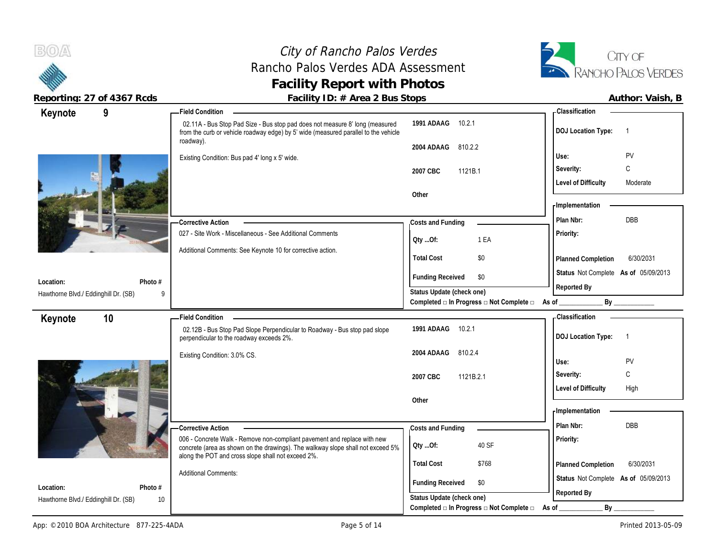### City of Rancho Palos Verdes Rancho Palos Verdes ADA Assessment **Facility of Rancho Palos Verdes**<br> **Facility Report with Photos**<br> **Facility Report with Photos**<br> **Facility Report with Photos**



| Author: Vaish |  |
|---------------|--|
|               |  |

| Keynote                              | 9       | - Field Condition                                                                                                                                                   |                                                                       | - Classification                            |
|--------------------------------------|---------|---------------------------------------------------------------------------------------------------------------------------------------------------------------------|-----------------------------------------------------------------------|---------------------------------------------|
|                                      |         | 02.11A - Bus Stop Pad Size - Bus stop pad does not measure 8' long (measured<br>from the curb or vehicle roadway edge) by 5' wide (measured parallel to the vehicle | 1991 ADAAG<br>10.2.1                                                  | <b>DOJ</b> Location Type:<br>- 1            |
|                                      |         | roadway).                                                                                                                                                           | 2004 ADAAG<br>810.2.2                                                 |                                             |
|                                      |         | Existing Condition: Bus pad 4' long x 5' wide.                                                                                                                      |                                                                       | PV<br>Use:                                  |
|                                      |         |                                                                                                                                                                     | 2007 CBC<br>1121B.1                                                   | C<br>Severity:                              |
|                                      |         |                                                                                                                                                                     |                                                                       | <b>Level of Difficulty</b><br>Moderate      |
|                                      |         |                                                                                                                                                                     | Other                                                                 |                                             |
|                                      |         |                                                                                                                                                                     |                                                                       | - Implementation                            |
|                                      |         | <b>Corrective Action</b>                                                                                                                                            | Costs and Funding                                                     | DBB<br>Plan Nbr:                            |
|                                      |         | 027 - Site Work - Miscellaneous - See Additional Comments                                                                                                           | 1 EA<br>Oty Of:                                                       | Priority:                                   |
|                                      |         | Additional Comments: See Keynote 10 for corrective action.                                                                                                          |                                                                       |                                             |
|                                      |         |                                                                                                                                                                     | <b>Total Cost</b><br>\$0                                              | 6/30/2031<br>Planned Completion             |
| Location:                            | Photo # |                                                                                                                                                                     | <b>Funding Received</b><br>\$0                                        | Status Not Complete As of 05/09/2013        |
| Hawthorne Blvd./ Eddinghill Dr. (SB) |         |                                                                                                                                                                     | Status Update (check one)                                             | Reported By                                 |
|                                      |         |                                                                                                                                                                     | Completed □ In Progress □ Not Complete □ As of ________               | By                                          |
| Keynote                              | 10      | <b>Field Condition</b>                                                                                                                                              |                                                                       | - Classification                            |
|                                      |         | 02.12B - Bus Stop Pad Slope Perpendicular to Roadway - Bus stop pad slope<br>perpendicular to the roadway exceeds 2%.                                               | 1991 ADAAG<br>10.2.1                                                  | <b>DOJ Location Type:</b><br>$\overline{1}$ |
|                                      |         |                                                                                                                                                                     |                                                                       |                                             |
|                                      |         | Existing Condition: 3.0% CS.                                                                                                                                        | 2004 ADAAG<br>810.2.4                                                 |                                             |
|                                      |         |                                                                                                                                                                     |                                                                       | Use:<br>PV                                  |
|                                      |         |                                                                                                                                                                     | 1121B.2.1<br>2007 CBC                                                 | C<br>Severity:                              |
|                                      |         |                                                                                                                                                                     |                                                                       | <b>Level of Difficulty</b><br>High          |
|                                      |         |                                                                                                                                                                     | Other                                                                 |                                             |
|                                      |         |                                                                                                                                                                     |                                                                       | - Implementation                            |
|                                      |         | <b>Corrective Action</b>                                                                                                                                            | Costs and Funding                                                     | Plan Nbr:<br>DBB                            |
|                                      |         | 006 - Concrete Walk - Remove non-compliant pavement and replace with new<br>concrete (area as shown on the drawings). The walkway slope shall not exceed 5%         | 40 SF<br>Qty Of:                                                      | Priority:                                   |
|                                      |         | along the POT and cross slope shall not exceed 2%.                                                                                                                  | \$768                                                                 |                                             |
|                                      |         | <b>Additional Comments:</b>                                                                                                                                         | <b>Total Cost</b>                                                     | 6/30/2031<br>Planned Completion             |
| Location:                            | Photo # |                                                                                                                                                                     | <b>Funding Received</b><br>\$0                                        | Status Not Complete As of 05/09/2013        |
| Hawthorne Blvd./ Eddinghill Dr. (SB) | 10      |                                                                                                                                                                     | Status Update (check one)<br>Completed □ In Progress □ Not Complete □ | Reported By<br>$By_$<br>As of               |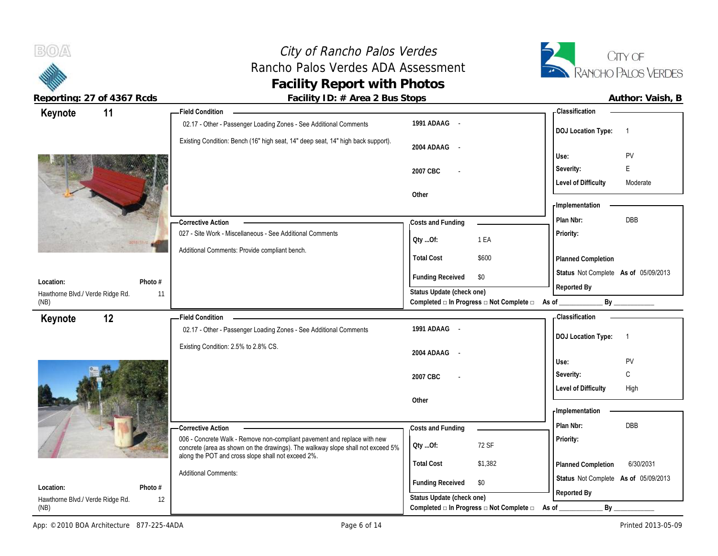## City of Rancho Palos Verdes Rancho Palos Verdes ADA Assessment **Facility Report with Photos**



 $B(0)$ 

| 11<br>Keynote                                                  | - Field Condition                                                                              |                                                             |         | - Classification                     |                |
|----------------------------------------------------------------|------------------------------------------------------------------------------------------------|-------------------------------------------------------------|---------|--------------------------------------|----------------|
|                                                                | 02.17 - Other - Passenger Loading Zones - See Additional Comments                              | 1991 ADAAG -                                                |         | <b>DOJ Location Type:</b>            | $\overline{1}$ |
|                                                                | Existing Condition: Bench (16" high seat, 14" deep seat, 14" high back support).               | 2004 ADAAG -                                                |         | Use:                                 | PV             |
|                                                                |                                                                                                | 2007 CBC                                                    |         | Severity:                            | E              |
|                                                                |                                                                                                |                                                             |         | <b>Level of Difficulty</b>           | Moderate       |
|                                                                |                                                                                                | Other                                                       |         |                                      |                |
|                                                                |                                                                                                |                                                             |         | - Implementation                     |                |
|                                                                | <b>Corrective Action</b>                                                                       | Costs and Funding                                           |         | Plan Nbr:                            | DBB            |
|                                                                | 027 - Site Work - Miscellaneous - See Additional Comments                                      |                                                             | 1 EA    | Priority:                            |                |
|                                                                | Additional Comments: Provide compliant bench.                                                  | Qty Of:                                                     |         |                                      |                |
|                                                                |                                                                                                | <b>Total Cost</b>                                           | \$600   | Planned Completion                   |                |
|                                                                |                                                                                                | <b>Funding Received</b><br>\$0                              |         | Status Not Complete As of 05/09/2013 |                |
| Location:<br>Photo #<br>Hawthorne Blvd./ Verde Ridge Rd.<br>11 |                                                                                                | Status Update (check one)                                   |         | Reported By                          |                |
| (NB)                                                           |                                                                                                | Completed a In Progress a Not Complete a As of              |         | By                                   |                |
|                                                                |                                                                                                |                                                             |         |                                      |                |
|                                                                | <b>Field Condition</b>                                                                         |                                                             |         | - Classification                     |                |
| 12<br>Keynote                                                  | 02.17 - Other - Passenger Loading Zones - See Additional Comments                              | 1991 ADAAG -                                                |         |                                      |                |
|                                                                |                                                                                                |                                                             |         | <b>DOJ</b> Location Type:            | $\overline{1}$ |
|                                                                | Existing Condition: 2.5% to 2.8% CS.                                                           | 2004 ADAAG -                                                |         |                                      |                |
|                                                                |                                                                                                |                                                             |         | Use:                                 | PV             |
|                                                                |                                                                                                | 2007 CBC                                                    |         | Severity:                            | C              |
|                                                                |                                                                                                | Other                                                       |         | <b>Level of Difficulty</b>           | High           |
|                                                                |                                                                                                |                                                             |         | - Implementation                     |                |
|                                                                |                                                                                                |                                                             |         | Plan Nbr:                            | <b>DBB</b>     |
|                                                                | -Corrective Action<br>006 - Concrete Walk - Remove non-compliant pavement and replace with new | Costs and Funding                                           |         | Priority:                            |                |
|                                                                | concrete (area as shown on the drawings). The walkway slope shall not exceed 5%                | QtyOf:                                                      | 72 SF   |                                      |                |
|                                                                | along the POT and cross slope shall not exceed 2%.                                             | <b>Total Cost</b>                                           | \$1,382 | Planned Completion                   | 6/30/2031      |
|                                                                | <b>Additional Comments:</b>                                                                    |                                                             |         | Status Not Complete As of 05/09/2013 |                |
| Photo #<br>Location:<br>Hawthorne Blvd./ Verde Ridge Rd.       | 12                                                                                             | <b>Funding Received</b><br>\$0<br>Status Update (check one) |         | Reported By                          |                |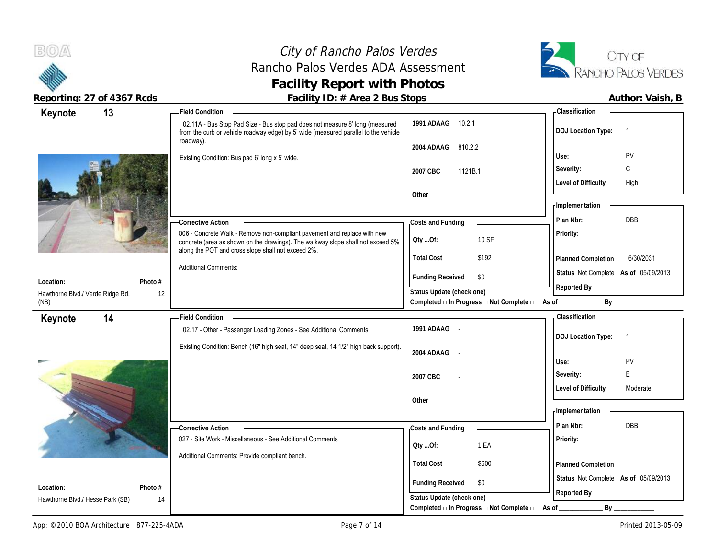### City of Rancho Palos Verdes Rancho Palos Verdes ADA Assessment **Facility Report with Photos**



| Reporting: 27 of 4367 Rcds                     | Facility ID: # Area 2 Bus Stops                                                                                                                                                                                   |                                                                             |                                      | Author: Vaish, B |
|------------------------------------------------|-------------------------------------------------------------------------------------------------------------------------------------------------------------------------------------------------------------------|-----------------------------------------------------------------------------|--------------------------------------|------------------|
| 13<br>Keynote                                  | <b>Field Condition</b>                                                                                                                                                                                            |                                                                             | - Classification                     |                  |
|                                                | 02.11A - Bus Stop Pad Size - Bus stop pad does not measure 8' long (measured<br>from the curb or vehicle roadway edge) by 5' wide (measured parallel to the vehicle                                               | 1991 ADAAG 10.2.1                                                           | DOJ Location Type: 1                 |                  |
|                                                | roadway).                                                                                                                                                                                                         | 2004 ADAAG 810.2.2                                                          |                                      |                  |
|                                                | Existing Condition: Bus pad 6' long x 5' wide.                                                                                                                                                                    |                                                                             | Use:                                 | PV               |
|                                                |                                                                                                                                                                                                                   | 2007 CBC<br>1121B.1                                                         | Severity:                            | C                |
|                                                |                                                                                                                                                                                                                   |                                                                             | <b>Level of Difficulty</b>           | High             |
|                                                |                                                                                                                                                                                                                   | Other                                                                       | Implementation                       |                  |
|                                                | -Corrective Action                                                                                                                                                                                                | Costs and Funding                                                           | Plan Nbr:                            | DBB              |
|                                                | 006 - Concrete Walk - Remove non-compliant pavement and replace with new<br>concrete (area as shown on the drawings). The walkway slope shall not exceed 5%<br>along the POT and cross slope shall not exceed 2%. | 10 SF<br>Oty Of:                                                            | Priority:                            |                  |
|                                                |                                                                                                                                                                                                                   | \$192<br><b>Total Cost</b>                                                  | Planned Completion                   | 6/30/2031        |
|                                                | <b>Additional Comments:</b>                                                                                                                                                                                       | <b>Funding Received</b><br>\$0                                              | Status Not Complete As of 05/09/2013 |                  |
| Photo #<br>Location:                           |                                                                                                                                                                                                                   | Status Update (check one)                                                   | Reported By                          |                  |
| Hawthorne Blvd./ Verde Ridge Rd.<br>12<br>(NB) |                                                                                                                                                                                                                   | Completed $\Box$ In Progress $\Box$ Not Complete $\Box$ As of               |                                      | By               |
| 14<br>Keynote                                  | - Field Condition                                                                                                                                                                                                 |                                                                             | - Classification                     |                  |
|                                                | 02.17 - Other - Passenger Loading Zones - See Additional Comments                                                                                                                                                 | 1991 ADAAG -                                                                | DOJ Location Type: 1                 |                  |
|                                                | Existing Condition: Bench (16" high seat, 14" deep seat, 14 1/2" high back support).                                                                                                                              |                                                                             |                                      |                  |
|                                                |                                                                                                                                                                                                                   | 2004 ADAAG -                                                                | Use:                                 | PV               |
|                                                |                                                                                                                                                                                                                   | 2007 CBC                                                                    | Severity:                            | E                |
|                                                |                                                                                                                                                                                                                   |                                                                             | <b>Level of Difficulty</b>           | Moderate         |
|                                                |                                                                                                                                                                                                                   | Other                                                                       |                                      |                  |
|                                                |                                                                                                                                                                                                                   |                                                                             | - Implementation                     |                  |
|                                                | - Corrective Action                                                                                                                                                                                               | Costs and Funding                                                           | Plan Nbr:                            | DBB              |
|                                                | 027 - Site Work - Miscellaneous - See Additional Comments                                                                                                                                                         | 1 EA<br>QtyOf:                                                              | Priority:                            |                  |
|                                                | Additional Comments: Provide compliant bench.                                                                                                                                                                     | \$600<br><b>Total Cost</b>                                                  | Planned Completion                   |                  |
| Photo #<br>Location:                           |                                                                                                                                                                                                                   | <b>Funding Received</b><br>\$0                                              | Status Not Complete As of 05/09/2013 |                  |
| Hawthorne Blvd./ Hesse Park (SB)<br>14         |                                                                                                                                                                                                                   | Status Update (check one)<br>Completed □ In Progress □ Not Complete □ As of | Reported By<br>$By_$                 |                  |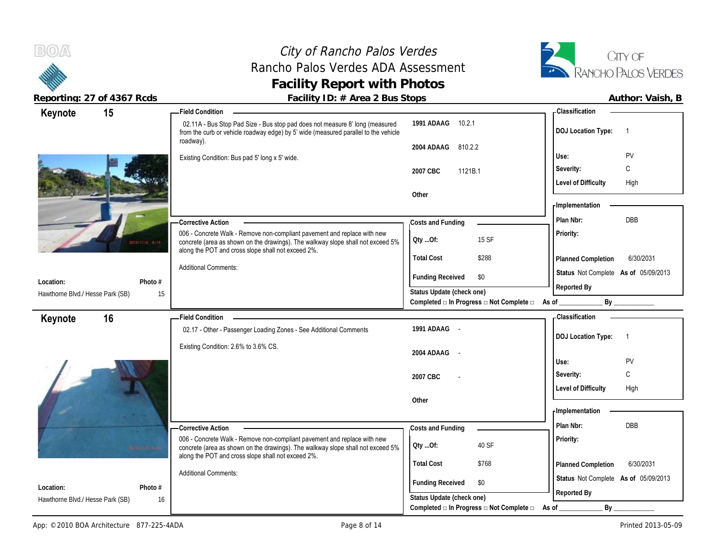## City of Rancho Palos Verdes Rancho Palos Verdes ADA Assessment **Facility Report with Photos**



| Keynote                          | 15              | <b>Field Condition</b>                                                                                                                                                                                            |                                                                                           | - Classification                       |
|----------------------------------|-----------------|-------------------------------------------------------------------------------------------------------------------------------------------------------------------------------------------------------------------|-------------------------------------------------------------------------------------------|----------------------------------------|
|                                  |                 | 02.11A - Bus Stop Pad Size - Bus stop pad does not measure 8' long (measured<br>from the curb or vehicle roadway edge) by 5' wide (measured parallel to the vehicle                                               | 1991 ADAAG<br>10.2.1                                                                      | <b>DOJ</b> Location Type:<br>-1        |
|                                  |                 | roadway).                                                                                                                                                                                                         | 810.2.2<br>2004 ADAAG                                                                     |                                        |
|                                  |                 | Existing Condition: Bus pad 5' long x 5' wide.                                                                                                                                                                    |                                                                                           | PV<br>Use:                             |
|                                  |                 |                                                                                                                                                                                                                   | 1121B.1<br>2007 CBC                                                                       | $\mathsf{C}$<br>Severity:              |
|                                  |                 |                                                                                                                                                                                                                   |                                                                                           | <b>Level of Difficulty</b><br>High     |
|                                  |                 |                                                                                                                                                                                                                   | Other                                                                                     |                                        |
|                                  |                 |                                                                                                                                                                                                                   |                                                                                           | - Implementation                       |
|                                  |                 | -Corrective Action                                                                                                                                                                                                | Costs and Funding                                                                         | <b>DBB</b><br>Plan Nbr:                |
|                                  | 2010/11/2 0-14  | 006 - Concrete Walk - Remove non-compliant pavement and replace with new<br>concrete (area as shown on the drawings). The walkway slope shall not exceed 5%<br>along the POT and cross slope shall not exceed 2%. | 15 SF<br>QtyOf:                                                                           | Priority:                              |
|                                  |                 |                                                                                                                                                                                                                   | <b>Total Cost</b><br>\$288                                                                | 6/30/2031<br><b>Planned Completion</b> |
|                                  |                 | <b>Additional Comments:</b>                                                                                                                                                                                       | <b>Funding Received</b><br>\$0                                                            | Status Not Complete As of 05/09/2013   |
| Location:                        | Photo #         |                                                                                                                                                                                                                   |                                                                                           | Reported By                            |
| Hawthorne Blvd./ Hesse Park (SB) | 15              |                                                                                                                                                                                                                   | Status Update (check one)<br>Completed <b>□</b> In Progress <b>□</b> Not Complete □ As of | By                                     |
|                                  |                 | <b>Field Condition</b>                                                                                                                                                                                            |                                                                                           | Classification                         |
| Keynote                          | 16              | 02.17 - Other - Passenger Loading Zones - See Additional Comments                                                                                                                                                 | 1991 ADAAG -                                                                              |                                        |
|                                  |                 |                                                                                                                                                                                                                   |                                                                                           | <b>DOJ Location Type:</b><br>-1        |
|                                  |                 | Existing Condition: 2.6% to 3.6% CS.                                                                                                                                                                              | 2004 ADAAG -                                                                              |                                        |
|                                  |                 |                                                                                                                                                                                                                   |                                                                                           | PV<br>Use:                             |
|                                  |                 |                                                                                                                                                                                                                   | 2007 CBC                                                                                  | C<br>Severity:                         |
|                                  |                 |                                                                                                                                                                                                                   |                                                                                           | <b>Level of Difficulty</b><br>High     |
|                                  |                 |                                                                                                                                                                                                                   | Other                                                                                     |                                        |
|                                  |                 |                                                                                                                                                                                                                   |                                                                                           | - Implementation                       |
|                                  |                 | -Corrective Action                                                                                                                                                                                                | Costs and Funding                                                                         | <b>DBB</b><br>Plan Nbr:                |
|                                  | <b>SHERE RA</b> | 006 - Concrete Walk - Remove non-compliant pavement and replace with new<br>concrete (area as shown on the drawings). The walkway slope shall not exceed 5%<br>along the POT and cross slope shall not exceed 2%. | 40 SF<br>Qty Of:                                                                          | Priority:                              |
|                                  |                 |                                                                                                                                                                                                                   | <b>Total Cost</b><br>\$768                                                                | 6/30/2031<br><b>Planned Completion</b> |
|                                  |                 | <b>Additional Comments:</b>                                                                                                                                                                                       |                                                                                           | Status Not Complete As of 05/09/2013   |
| Location:                        | Photo #         |                                                                                                                                                                                                                   | \$0<br><b>Funding Received</b>                                                            | Reported By                            |
| Hawthorne Blvd./ Hesse Park (SB) | 16              |                                                                                                                                                                                                                   | Status Update (check one)                                                                 |                                        |
|                                  |                 |                                                                                                                                                                                                                   | Completed □ In Progress □ Not Complete □                                                  | By<br>As of                            |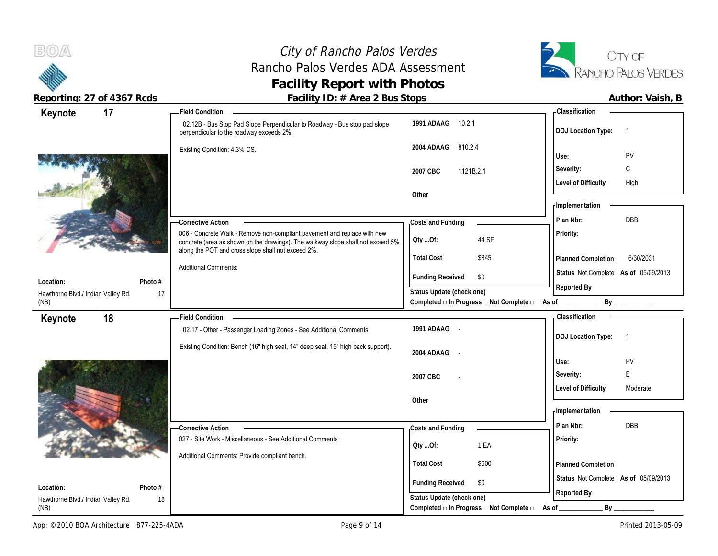## City of Rancho Palos Verdes Rancho Palos Verdes ADA Assessment **Facility Report with Photos**



| Keynote                            | 17 |         | <b>Field Condition</b>                                                                                                                                                                                            |                           |                                                         | <b>Classification</b>                |                |
|------------------------------------|----|---------|-------------------------------------------------------------------------------------------------------------------------------------------------------------------------------------------------------------------|---------------------------|---------------------------------------------------------|--------------------------------------|----------------|
|                                    |    |         | 02.12B - Bus Stop Pad Slope Perpendicular to Roadway - Bus stop pad slope<br>perpendicular to the roadway exceeds 2%.                                                                                             | 1991 ADAAG 10.2.1         |                                                         | <b>DOJ Location Type:</b>            | $\overline{1}$ |
|                                    |    |         | Existing Condition: 4.3% CS.                                                                                                                                                                                      | 2004 ADAAG<br>810.2.4     |                                                         |                                      |                |
|                                    |    |         |                                                                                                                                                                                                                   |                           |                                                         | Use:                                 | PV             |
|                                    |    |         |                                                                                                                                                                                                                   | 2007 CBC                  | 1121B.2.1                                               | Severity:                            | С              |
|                                    |    |         |                                                                                                                                                                                                                   |                           |                                                         | <b>Level of Difficulty</b>           | High           |
|                                    |    |         |                                                                                                                                                                                                                   | Other                     |                                                         |                                      |                |
|                                    |    |         |                                                                                                                                                                                                                   |                           |                                                         | Implementation                       |                |
|                                    |    |         | - Corrective Action                                                                                                                                                                                               | Costs and Funding         |                                                         | Plan Nbr:                            | <b>DBB</b>     |
|                                    |    |         | 006 - Concrete Walk - Remove non-compliant pavement and replace with new<br>concrete (area as shown on the drawings). The walkway slope shall not exceed 5%<br>along the POT and cross slope shall not exceed 2%. | Oty Of:                   | 44 SF                                                   | Priority:                            |                |
|                                    |    |         |                                                                                                                                                                                                                   | <b>Total Cost</b>         | \$845                                                   | Planned Completion                   | 6/30/2031      |
| Location:                          |    | Photo # | <b>Additional Comments:</b>                                                                                                                                                                                       | <b>Funding Received</b>   | \$0                                                     | Status Not Complete As of 05/09/2013 |                |
| Hawthorne Blvd./ Indian Valley Rd. |    | 17      |                                                                                                                                                                                                                   | Status Update (check one) |                                                         | Reported By                          |                |
| (NB)                               |    |         |                                                                                                                                                                                                                   |                           | Completed □ In Progress □ Not Complete □                | As of                                | By             |
| Keynote                            | 18 |         | <b>Field Condition</b>                                                                                                                                                                                            |                           |                                                         | <b>Classification</b>                |                |
|                                    |    |         | 02.17 - Other - Passenger Loading Zones - See Additional Comments                                                                                                                                                 | 1991 ADAAG -              |                                                         | <b>DOJ Location Type:</b>            | $\overline{1}$ |
|                                    |    |         | Existing Condition: Bench (16" high seat, 14" deep seat, 15" high back support).                                                                                                                                  | 2004 ADAAG -              |                                                         |                                      |                |
|                                    |    |         |                                                                                                                                                                                                                   |                           |                                                         | Use:                                 | PV             |
|                                    |    |         |                                                                                                                                                                                                                   |                           |                                                         | Severity:                            | E              |
|                                    |    |         |                                                                                                                                                                                                                   | 2007 CBC                  |                                                         |                                      |                |
|                                    |    |         |                                                                                                                                                                                                                   |                           |                                                         | <b>Level of Difficulty</b>           | Moderate       |
|                                    |    |         |                                                                                                                                                                                                                   | Other                     |                                                         |                                      |                |
|                                    |    |         |                                                                                                                                                                                                                   |                           |                                                         | - Implementation                     |                |
|                                    |    |         | - Corrective Action                                                                                                                                                                                               | Costs and Funding         |                                                         | Plan Nbr:                            | DBB            |
|                                    |    |         | 027 - Site Work - Miscellaneous - See Additional Comments                                                                                                                                                         |                           |                                                         | Priority:                            |                |
|                                    |    |         | Additional Comments: Provide compliant bench.                                                                                                                                                                     | Oty Of:                   | 1 EA                                                    |                                      |                |
|                                    |    |         |                                                                                                                                                                                                                   | <b>Total Cost</b>         | \$600                                                   | Planned Completion                   |                |
| Location:                          |    | Photo # |                                                                                                                                                                                                                   | <b>Funding Received</b>   | \$0                                                     | Status Not Complete As of 05/09/2013 |                |
| Hawthorne Blvd./ Indian Valley Rd. |    | 18      |                                                                                                                                                                                                                   | Status Update (check one) | Completed $\Box$ In Progress $\Box$ Not Complete $\Box$ | Reported By                          |                |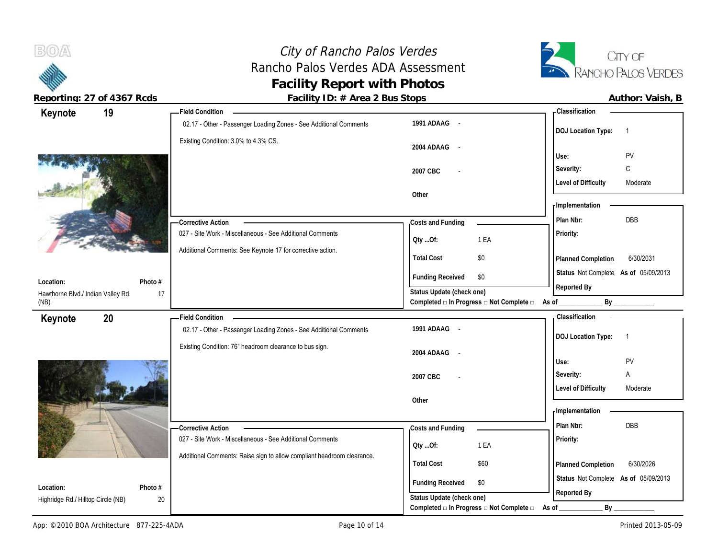City of Rancho Palos Verdes Rancho Palos Verdes ADA Assessment **Facility Report with Photos**



 $B(0)$ 

| 19<br>Keynote                                                    | <b>Field Condition</b>                                                 |                                                                               | - Classification                            |
|------------------------------------------------------------------|------------------------------------------------------------------------|-------------------------------------------------------------------------------|---------------------------------------------|
|                                                                  | 02.17 - Other - Passenger Loading Zones - See Additional Comments      | 1991 ADAAG -                                                                  | <b>DOJ Location Type:</b><br>$\overline{1}$ |
|                                                                  | Existing Condition: 3.0% to 4.3% CS.                                   | 2004 ADAAG<br>$\sim$                                                          | PV<br>Use:                                  |
|                                                                  |                                                                        | 2007 CBC                                                                      | C<br>Severity:                              |
|                                                                  |                                                                        |                                                                               | <b>Level of Difficulty</b><br>Moderate      |
|                                                                  |                                                                        | Other                                                                         |                                             |
|                                                                  |                                                                        |                                                                               | - Implementation                            |
|                                                                  | -Corrective Action                                                     | Costs and Funding                                                             | Plan Nbr:<br>DBB                            |
|                                                                  | 027 - Site Work - Miscellaneous - See Additional Comments              | 1 EA<br>QtyOf:                                                                | Priority:                                   |
|                                                                  | Additional Comments: See Keynote 17 for corrective action.             | <b>Total Cost</b><br>\$0                                                      | Planned Completion<br>6/30/2031             |
| Location:<br>Photo #                                             |                                                                        | <b>Funding Received</b><br>\$0                                                | Status Not Complete As of 05/09/2013        |
| Hawthorne Blvd./ Indian Valley Rd.<br>17<br>(NB)                 |                                                                        | Status Update (check one)<br>Completed □ In Progress □ Not Complete □ As of _ | Reported By<br>By                           |
| 20<br>Keynote                                                    | <b>Field Condition</b>                                                 |                                                                               | - Classification                            |
|                                                                  | 02.17 - Other - Passenger Loading Zones - See Additional Comments      | 1991 ADAAG -                                                                  | <b>DOJ</b> Location Type:<br>$\overline{1}$ |
|                                                                  |                                                                        |                                                                               |                                             |
|                                                                  | Existing Condition: 76" headroom clearance to bus sign.                |                                                                               |                                             |
|                                                                  |                                                                        | 2004 ADAAG<br>$\sim$                                                          | PV<br>Use:                                  |
|                                                                  |                                                                        | 2007 CBC                                                                      | Severity:<br>Α                              |
|                                                                  |                                                                        |                                                                               | <b>Level of Difficulty</b><br>Moderate      |
|                                                                  |                                                                        | Other                                                                         |                                             |
|                                                                  |                                                                        |                                                                               | - Implementation                            |
|                                                                  | - Corrective Action                                                    | Costs and Funding                                                             | DBB<br>Plan Nbr:                            |
|                                                                  | 027 - Site Work - Miscellaneous - See Additional Comments              | 1 EA<br>QtyOf:                                                                | Priority:                                   |
|                                                                  | Additional Comments: Raise sign to allow compliant headroom clearance. | <b>Total Cost</b><br>\$60                                                     | 6/30/2026<br>Planned Completion             |
|                                                                  |                                                                        |                                                                               | Status Not Complete As of 05/09/2013        |
| Location:<br>Photo #<br>20<br>Highridge Rd./ Hilltop Circle (NB) |                                                                        | <b>Funding Received</b><br>\$0<br>Status Update (check one)                   | Reported By                                 |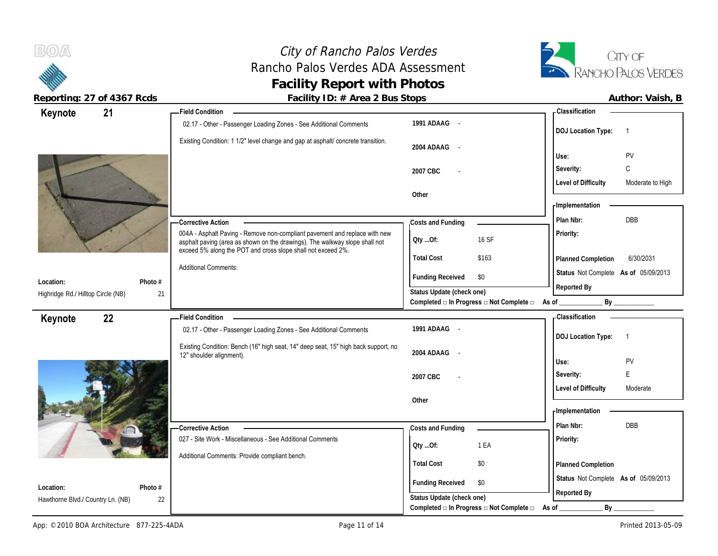# City of Rancho Palos Verdes Rancho Palos Verdes ADA Assessment **Facility Report with Photos**



**Reporting: 27 of 4367 Rcds Facility ID: # Area 2 Bus Stops** 

| Author: Vaish, B |  |
|------------------|--|
|                  |  |

| 21<br>Keynote                      |         | <b>Field Condition</b>                                                                                                                                                                                                    |                                                      |                                          | - Classification                                    |                                 |
|------------------------------------|---------|---------------------------------------------------------------------------------------------------------------------------------------------------------------------------------------------------------------------------|------------------------------------------------------|------------------------------------------|-----------------------------------------------------|---------------------------------|
|                                    |         | 02.17 - Other - Passenger Loading Zones - See Additional Comments                                                                                                                                                         | 1991 ADAAG -                                         |                                          | <b>DOJ</b> Location Type:                           | -1                              |
|                                    |         | Existing Condition: 1 1/2" level change and gap at asphalt/ concrete transition.                                                                                                                                          | 2004 ADAAG -                                         |                                          | Use:                                                | PV                              |
|                                    |         |                                                                                                                                                                                                                           | 2007 CBC                                             |                                          | Severity:<br><b>Level of Difficulty</b>             | $\mathsf C$<br>Moderate to High |
|                                    |         |                                                                                                                                                                                                                           | Other                                                |                                          | <b>Implementation</b>                               |                                 |
|                                    |         | -Corrective Action                                                                                                                                                                                                        | Costs and Funding                                    |                                          | Plan Nbr:                                           | <b>DBB</b>                      |
|                                    |         | 004A - Asphalt Paving - Remove non-compliant pavement and replace with new<br>asphalt paving (area as shown on the drawings). The walkway slope shall not<br>exceed 5% along the POT and cross slope shall not exceed 2%. | Qty Of:                                              | 16 SF                                    | Priority:                                           |                                 |
|                                    |         | <b>Additional Comments:</b>                                                                                                                                                                                               | <b>Total Cost</b>                                    | \$163                                    | <b>Planned Completion</b>                           | 6/30/2031                       |
| Location:                          | Photo # |                                                                                                                                                                                                                           | <b>Funding Received</b>                              | \$0                                      | Status Not Complete As of 05/09/2013                |                                 |
| Highridge Rd./ Hilltop Circle (NB) | 21      |                                                                                                                                                                                                                           | Status Update (check one)                            | Completed □ In Progress □ Not Complete □ | Reported By<br>As of $\_$                           | By                              |
|                                    |         |                                                                                                                                                                                                                           |                                                      |                                          |                                                     |                                 |
|                                    |         | <b>Field Condition</b>                                                                                                                                                                                                    |                                                      |                                          | <b>Classification</b>                               |                                 |
| 22<br>Keynote                      |         | 02.17 - Other - Passenger Loading Zones - See Additional Comments                                                                                                                                                         | 1991 ADAAG -                                         |                                          | <b>DOJ</b> Location Type:                           | $\overline{1}$                  |
|                                    |         | Existing Condition: Bench (16" high seat, 14" deep seat, 15" high back support, no<br>12" shoulder alignment).                                                                                                            | 2004 ADAAG<br>$\overline{\phantom{a}}$               |                                          | Use:                                                | PV                              |
|                                    |         |                                                                                                                                                                                                                           | 2007 CBC                                             |                                          | Severity:                                           | E.                              |
|                                    |         |                                                                                                                                                                                                                           |                                                      |                                          | <b>Level of Difficulty</b>                          | Moderate                        |
|                                    |         |                                                                                                                                                                                                                           | Other                                                |                                          | <b>Implementation</b>                               |                                 |
|                                    |         | - Corrective Action                                                                                                                                                                                                       | Costs and Funding                                    |                                          | Plan Nbr:                                           | <b>DBB</b>                      |
|                                    |         | 027 - Site Work - Miscellaneous - See Additional Comments                                                                                                                                                                 | Qty Of:                                              | 1 EA                                     | Priority:                                           |                                 |
|                                    |         | Additional Comments: Provide compliant bench.                                                                                                                                                                             | <b>Total Cost</b>                                    | \$0                                      | Planned Completion                                  |                                 |
| Location:                          | Photo # |                                                                                                                                                                                                                           | <b>Funding Received</b><br>Status Update (check one) | \$0                                      | Status Not Complete As of 05/09/2013<br>Reported By |                                 |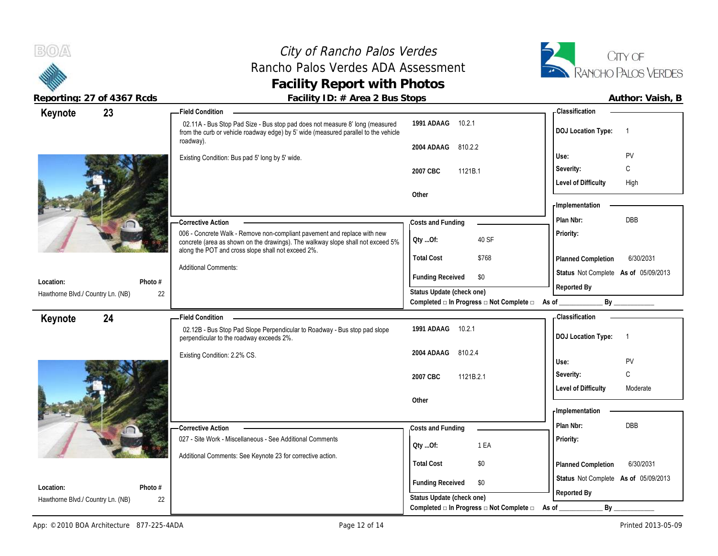### City of Rancho Palos Verdes Rancho Palos Verdes ADA Assessment **Facility Report with Photos**



| Keynote                           | 23                           | -Field Condition                                                                                                                                                                                                  |                                                      |                                                  | Classification                                      |                |
|-----------------------------------|------------------------------|-------------------------------------------------------------------------------------------------------------------------------------------------------------------------------------------------------------------|------------------------------------------------------|--------------------------------------------------|-----------------------------------------------------|----------------|
|                                   |                              | 02.11A - Bus Stop Pad Size - Bus stop pad does not measure 8' long (measured<br>from the curb or vehicle roadway edge) by 5' wide (measured parallel to the vehicle                                               | 10.2.1<br>1991 ADAAG                                 |                                                  | <b>DOJ Location Type:</b>                           | $\overline{1}$ |
|                                   |                              | roadway).                                                                                                                                                                                                         | 2004 ADAAG<br>810.2.2                                |                                                  |                                                     |                |
|                                   |                              | Existing Condition: Bus pad 5' long by 5' wide.                                                                                                                                                                   |                                                      |                                                  | Use:                                                | PV             |
|                                   |                              |                                                                                                                                                                                                                   | 2007 CBC<br>1121B.1                                  |                                                  | Severity:                                           | C              |
|                                   |                              |                                                                                                                                                                                                                   |                                                      |                                                  | <b>Level of Difficulty</b>                          | High           |
|                                   |                              |                                                                                                                                                                                                                   | Other                                                |                                                  | - Implementation                                    |                |
|                                   |                              |                                                                                                                                                                                                                   |                                                      |                                                  |                                                     |                |
|                                   |                              | -Corrective Action                                                                                                                                                                                                | Costs and Funding                                    |                                                  | Plan Nbr:                                           | DBB            |
|                                   |                              | 006 - Concrete Walk - Remove non-compliant pavement and replace with new<br>concrete (area as shown on the drawings). The walkway slope shall not exceed 5%<br>along the POT and cross slope shall not exceed 2%. | Oty Of:                                              | 40 SF                                            | Priority:                                           |                |
|                                   |                              |                                                                                                                                                                                                                   | <b>Total Cost</b>                                    | \$768                                            | Planned Completion                                  | 6/30/2031      |
|                                   |                              | <b>Additional Comments:</b>                                                                                                                                                                                       | <b>Funding Received</b>                              | \$0                                              | Status Not Complete As of 05/09/2013                |                |
| Location:                         | Photo #                      |                                                                                                                                                                                                                   | Status Update (check one)                            |                                                  | Reported By                                         |                |
| Hawthorne Blvd./ Country Ln. (NB) | 22                           |                                                                                                                                                                                                                   |                                                      | Completed □ In Progress □ Not Complete □ As of _ |                                                     |                |
| Keynote                           | 24                           | -Field Condition                                                                                                                                                                                                  |                                                      |                                                  | - Classification                                    |                |
|                                   |                              | 02.12B - Bus Stop Pad Slope Perpendicular to Roadway - Bus stop pad slope<br>perpendicular to the roadway exceeds 2%.                                                                                             | 1991 ADAAG 10.2.1                                    |                                                  | <b>DOJ Location Type:</b>                           | $\overline{1}$ |
|                                   | Existing Condition: 2.2% CS. |                                                                                                                                                                                                                   | 2004 ADAAG<br>810.2.4                                |                                                  | Use:                                                | PV             |
|                                   |                              |                                                                                                                                                                                                                   | 2007 CBC<br>1121B.2.1                                |                                                  | Severity:                                           | C              |
|                                   |                              |                                                                                                                                                                                                                   | <b>Level of Difficulty</b>                           |                                                  |                                                     |                |
|                                   |                              |                                                                                                                                                                                                                   |                                                      |                                                  |                                                     | Moderate       |
|                                   |                              |                                                                                                                                                                                                                   | Other                                                |                                                  |                                                     |                |
|                                   |                              |                                                                                                                                                                                                                   |                                                      |                                                  | - Implementation                                    |                |
|                                   |                              | - Corrective Action                                                                                                                                                                                               | Costs and Funding                                    |                                                  | Plan Nbr:                                           | <b>DBB</b>     |
|                                   |                              | 027 - Site Work - Miscellaneous - See Additional Comments                                                                                                                                                         |                                                      | 1 EA                                             | Priority:                                           |                |
|                                   |                              | Additional Comments: See Keynote 23 for corrective action.                                                                                                                                                        | QtyOf:                                               |                                                  |                                                     |                |
|                                   |                              |                                                                                                                                                                                                                   | <b>Total Cost</b>                                    | \$0                                              | Planned Completion                                  | 6/30/2031      |
| Location:                         | Photo #                      |                                                                                                                                                                                                                   | <b>Funding Received</b><br>Status Update (check one) | \$0                                              | Status Not Complete As of 05/09/2013<br>Reported By |                |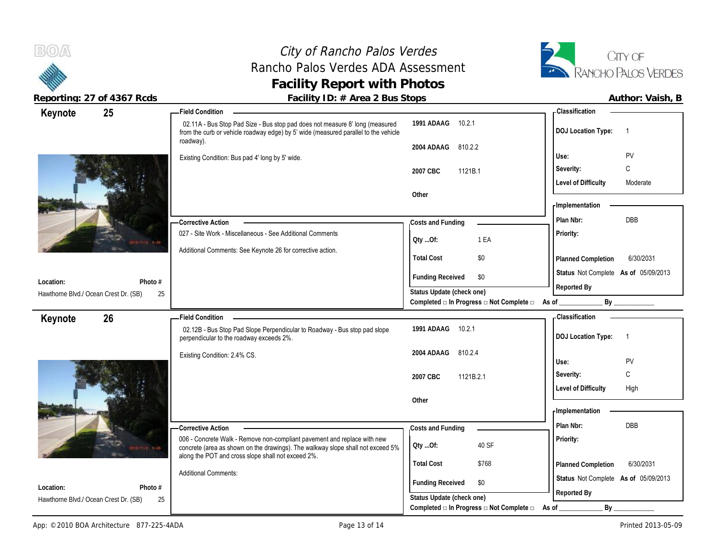## City of Rancho Palos Verdes Rancho Palos Verdes ADA Assessment **Facility Report with Photos**



| Keynote                               | 25                                                                        | <b>Field Condition</b>                                                                                                                                                           |                                                                                               | - Classification                            |
|---------------------------------------|---------------------------------------------------------------------------|----------------------------------------------------------------------------------------------------------------------------------------------------------------------------------|-----------------------------------------------------------------------------------------------|---------------------------------------------|
|                                       |                                                                           | 02.11A - Bus Stop Pad Size - Bus stop pad does not measure 8' long (measured<br>from the curb or vehicle roadway edge) by 5' wide (measured parallel to the vehicle<br>roadway). | 1991 ADAAG 10.2.1                                                                             | <b>DOJ Location Type:</b><br>$\overline{1}$ |
|                                       |                                                                           |                                                                                                                                                                                  | 2004 ADAAG<br>810.2.2                                                                         |                                             |
|                                       |                                                                           | Existing Condition: Bus pad 4' long by 5' wide.                                                                                                                                  |                                                                                               | PV<br>Use:                                  |
|                                       |                                                                           |                                                                                                                                                                                  | 2007 CBC<br>1121B.1                                                                           | C<br>Severity:                              |
|                                       |                                                                           |                                                                                                                                                                                  |                                                                                               | <b>Level of Difficulty</b><br>Moderate      |
|                                       |                                                                           |                                                                                                                                                                                  | Other                                                                                         |                                             |
|                                       |                                                                           |                                                                                                                                                                                  |                                                                                               | - Implementation                            |
|                                       |                                                                           | — Corrective Action                                                                                                                                                              | Costs and Funding                                                                             | DBB<br>Plan Nbr:                            |
|                                       | 027 - Site Work - Miscellaneous - See Additional Comments<br>10/11/2 5:49 |                                                                                                                                                                                  | Oty Of:<br>1 EA                                                                               | Priority:                                   |
|                                       |                                                                           | Additional Comments: See Keynote 26 for corrective action.                                                                                                                       | <b>Total Cost</b><br>\$0                                                                      | Planned Completion<br>6/30/2031             |
|                                       |                                                                           |                                                                                                                                                                                  | <b>Funding Received</b><br>\$0                                                                | Status Not Complete As of 05/09/2013        |
| Location:                             | Photo #                                                                   |                                                                                                                                                                                  |                                                                                               | Reported By                                 |
| Hawthorne Blvd./ Ocean Crest Dr. (SB) | 25                                                                        |                                                                                                                                                                                  | Status Update (check one)<br>Completed □ In Progress □ Not Complete □                         | By<br>As of _                               |
|                                       |                                                                           |                                                                                                                                                                                  |                                                                                               | - Classification                            |
| Keynote                               | 26                                                                        | <b>Field Condition</b>                                                                                                                                                           |                                                                                               |                                             |
|                                       |                                                                           | 02.12B - Bus Stop Pad Slope Perpendicular to Roadway - Bus stop pad slope<br>perpendicular to the roadway exceeds 2%.                                                            | 1991 ADAAG<br>10.2.1                                                                          | <b>DOJ Location Type:</b><br>$\overline{1}$ |
|                                       |                                                                           | Existing Condition: 2.4% CS.                                                                                                                                                     | 2004 ADAAG<br>810.2.4                                                                         |                                             |
|                                       |                                                                           |                                                                                                                                                                                  |                                                                                               | PV<br>Use:                                  |
|                                       |                                                                           |                                                                                                                                                                                  |                                                                                               |                                             |
|                                       |                                                                           |                                                                                                                                                                                  | 1121B.2.1<br>2007 CBC                                                                         | C<br>Severity:                              |
|                                       |                                                                           |                                                                                                                                                                                  |                                                                                               | <b>Level of Difficulty</b><br>High          |
|                                       |                                                                           |                                                                                                                                                                                  | Other                                                                                         |                                             |
|                                       |                                                                           |                                                                                                                                                                                  |                                                                                               | - Implementation                            |
|                                       |                                                                           | - Corrective Action                                                                                                                                                              | Costs and Funding                                                                             | Plan Nbr:<br>DBB                            |
|                                       | $= 49$                                                                    | 006 - Concrete Walk - Remove non-compliant pavement and replace with new<br>concrete (area as shown on the drawings). The walkway slope shall not exceed 5%                      | 40 SF<br>QtyOf:                                                                               | Priority:                                   |
|                                       |                                                                           | along the POT and cross slope shall not exceed 2%.                                                                                                                               | <b>Total Cost</b><br>\$768                                                                    | 6/30/2031<br>Planned Completion             |
|                                       |                                                                           | <b>Additional Comments:</b>                                                                                                                                                      |                                                                                               |                                             |
| Location:                             | Photo #                                                                   |                                                                                                                                                                                  | <b>Funding Received</b><br>\$0                                                                | Status Not Complete As of 05/09/2013        |
| Hawthorne Blvd./ Ocean Crest Dr. (SB) | 25                                                                        |                                                                                                                                                                                  | Status Update (check one)<br>Completed $\square$ In Progress $\square$ Not Complete $\square$ | Reported By<br>By                           |